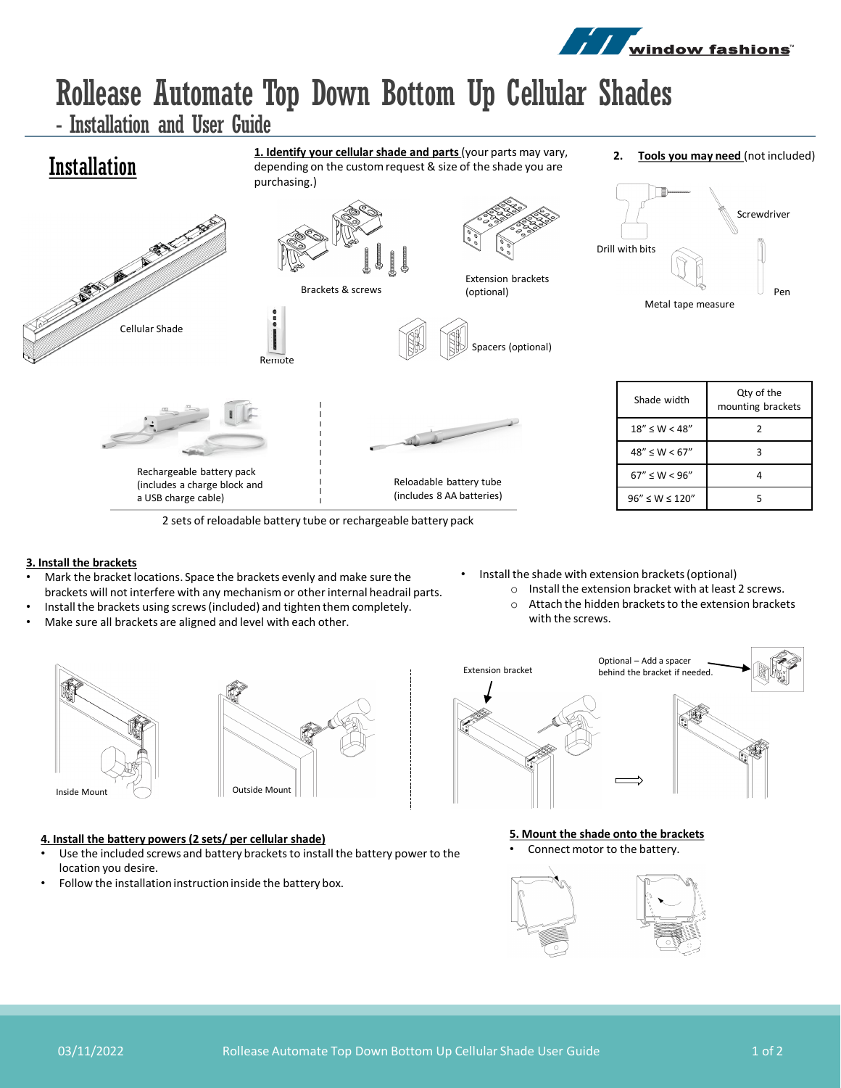

# Rollease Automate Top Down Bottom Up Cellular Shades

**1. Identify your cellular shade and parts** (your parts may vary, depending on the custom request & size of the shade you are

- Installation and User Guide

## Installation

purchasing.) and the same of the contract of the contract of the contract of the contract of the contract of the contract of  $0000$ Cellular Shade





Spacers (optional)

Reloadable battery tube (includes 8 AA batteries)



Drill with bits Screwdriver Metal tape measure Pen

| Shade width            | Qty of the<br>mounting brackets |
|------------------------|---------------------------------|
| $18'' \le W < 48''$    | 7                               |
| $48'' \le W < 67''$    |                                 |
| $67'' \le W < 96''$    |                                 |
| $96'' \le W \le 120''$ |                                 |

2 sets of reloadable battery tube or rechargeable battery pack

Remote

### **3. Install the brackets**

- Mark the bracket locations. Space the brackets evenly and make sure the brackets will not interfere with any mechanism or other internal headrail parts.
- Install the brackets using screws (included) and tighten them completely.
- Make sure all brackets are aligned and level with each other.

Rechargeable battery pack (includes a charge block and a USB charge cable)





#### **4. Install the battery powers (2 sets/ per cellular shade)**

- Use the included screws and battery brackets to install the battery power to the location you desire.
- Follow the installation instruction inside the battery box.
- Install the shade with extension brackets (optional)
	- o Install the extension bracket with at least 2 screws.
	- o Attach the hidden brackets to the extension brackets with the screws.



**5. Mount the shade onto the brackets** Connect motor to the battery.